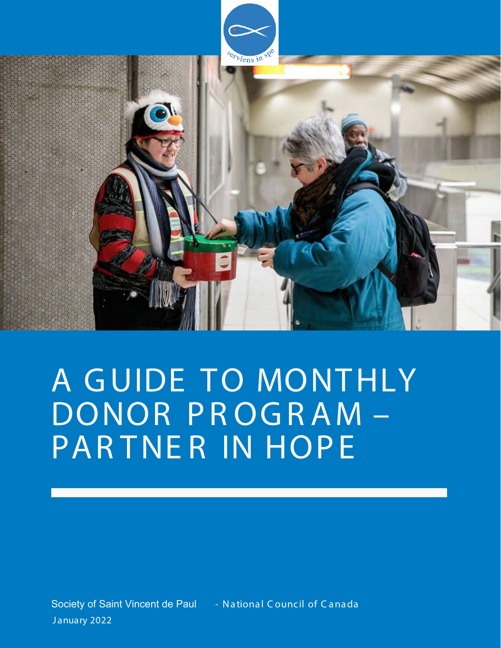

# A GUIDE TO MONTHLY DONOR PROGRAM-PARTNER IN HOPE

Society of Saint Vincent de Paul - National Council of Canada January 2022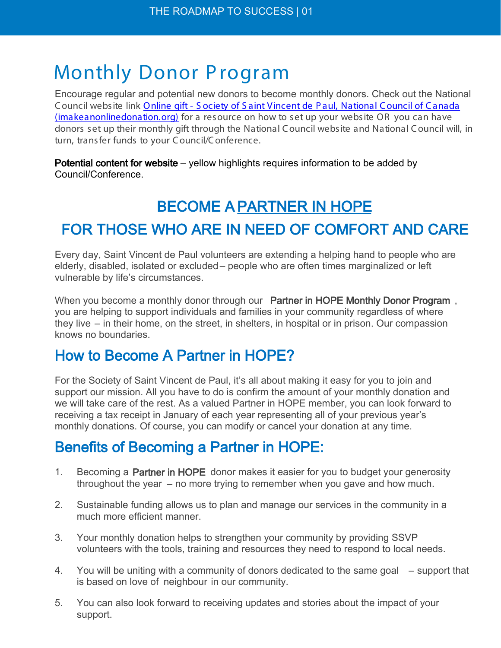## Monthly Donor Program

Encourage regular and potential new donors to become monthly donors. Check out the National C ouncil website link Online gift - S ociety of S aint Vincent de P aul, National C ouncil of C anada (imakeanonlinedonation.org) [for a resource on how to set up your website OR you can have](https://www.imakeanonlinedonation.org/ssvp-national/DONATION/)  donors set up their monthly gift through the National C ouncil website and National C ouncil will, in turn, transfer funds to your C ouncil/C onference.

Potential content for website – yellow highlights requires information to be added by Council/Conference.

## BECOME A PARTNER IN HOPE

### FOR THOSE WHO ARE IN NEED OF COMFORT AND CARE

Every day, Saint Vincent de Paul volunteers are extending a helping hand to people who are elderly, disabled, isolated or excluded – people who are often times marginalized or left vulnerable by life's circumstances.

When you become a monthly donor through our Partner in HOPE Monthly Donor Program, you are helping to support individuals and families in your community regardless of where they live – in their home, on the street, in shelters, in hospital or in prison. Our compassion knows no boundaries.

### How to Become A Partner in HOPE?

For the Society of Saint Vincent de Paul, it's all about making it easy for you to join and support our mission. All you have to do is confirm the amount of your monthly donation and we will take care of the rest. As a valued Partner in HOPE member, you can look forward to receiving a tax receipt in January of each year representing all of your previous year's monthly donations. Of course, you can modify or cancel your donation at any time.

### Benefits of Becoming a Partner in HOPE:

- 1. Becoming a Partner in HOPE donor makes it easier for you to budget your generosity throughout the year – no more trying to remember when you gave and how much.
- 2. Sustainable funding allows us to plan and manage our services in the community in a much more efficient manner.
- 3. Your monthly donation helps to strengthen your community by providing SSVP volunteers with the tools, training and resources they need to respond to local needs.
- 4. You will be uniting with a community of donors dedicated to the same goal support that is based on love of neighbour in our community.
- 5. You can also look forward to receiving updates and stories about the impact of your support.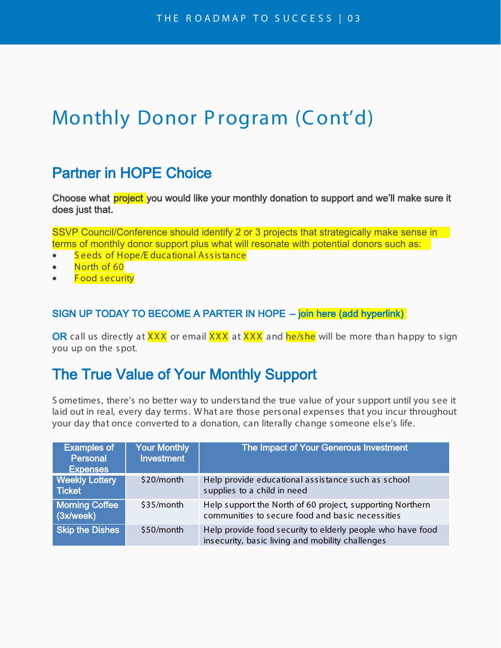### Monthly Donor Program (Cont'd)

#### Partner in HOPE Choice

Choose what **project** you would like your monthly donation to support and we'll make sure it does just that.

SSVP Council/Conference should identify 2 or 3 projects that strategically make sense in terms of monthly donor support plus what will resonate with potential donors such as:

- Seeds of Hope/E ducational Assistance
- North of 60
- Food security

#### SIGN UP TODAY TO BECOME A PARTER IN HOPE – join here (add hyperlink)

OR call us directly at XXX or email XXX at XXX and he/she will be more than happy to sign you up on the spot.

#### The True Value of Your Monthly Support

S ometimes, there's no better way to understand the true value of your support until you see it laid out in real, every day terms. W hat are those personal expenses that you incur throughout your day that once converted to a donation, can literally change someone else's life.

| <b>Examples of</b><br>Personal<br><b>Expenses</b> | <b>Your Monthly</b><br><b>Investment</b> | The Impact of Your Generous Investment                                                                         |
|---------------------------------------------------|------------------------------------------|----------------------------------------------------------------------------------------------------------------|
| <b>Weekly Lottery</b><br>Ticket                   | \$20/month                               | Help provide educational assistance such as school<br>supplies to a child in need                              |
| <b>Morning Coffee</b><br>(3x/week)                | \$35/month                               | Help support the North of 60 project, supporting Northern<br>communities to secure food and basic necessities  |
| <b>Skip the Dishes</b>                            | \$50/month                               | Help provide food security to elderly people who have food<br>insecurity, basic living and mobility challenges |